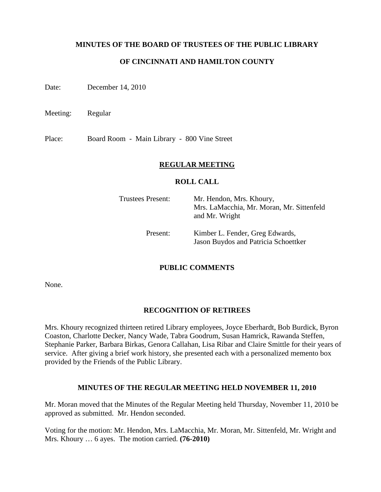### **MINUTES OF THE BOARD OF TRUSTEES OF THE PUBLIC LIBRARY**

## **OF CINCINNATI AND HAMILTON COUNTY**

Date: December 14, 2010

Meeting: Regular

Place: Board Room - Main Library - 800 Vine Street

### **REGULAR MEETING**

#### **ROLL CALL**

| Trustees Present: | Mr. Hendon, Mrs. Khoury,<br>Mrs. LaMacchia, Mr. Moran, Mr. Sittenfeld<br>and Mr. Wright |
|-------------------|-----------------------------------------------------------------------------------------|
| Present:          | Kimber L. Fender, Greg Edwards,<br>Jason Buydos and Patricia Schoettker                 |

### **PUBLIC COMMENTS**

None.

#### **RECOGNITION OF RETIREES**

Mrs. Khoury recognized thirteen retired Library employees, Joyce Eberhardt, Bob Burdick, Byron Coaston, Charlotte Decker, Nancy Wade, Tabra Goodrum, Susan Hamrick, Rawanda Steffen, Stephanie Parker, Barbara Birkas, Genora Callahan, Lisa Ribar and Claire Smittle for their years of service. After giving a brief work history, she presented each with a personalized memento box provided by the Friends of the Public Library.

#### **MINUTES OF THE REGULAR MEETING HELD NOVEMBER 11, 2010**

Mr. Moran moved that the Minutes of the Regular Meeting held Thursday, November 11, 2010 be approved as submitted. Mr. Hendon seconded.

Voting for the motion: Mr. Hendon, Mrs. LaMacchia, Mr. Moran, Mr. Sittenfeld, Mr. Wright and Mrs. Khoury … 6 ayes. The motion carried. **(76-2010)**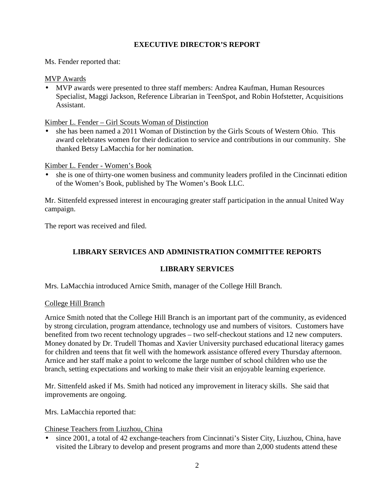# **EXECUTIVE DIRECTOR'S REPORT**

Ms. Fender reported that:

### MVP Awards

• MVP awards were presented to three staff members: Andrea Kaufman, Human Resources Specialist, Maggi Jackson, Reference Librarian in TeenSpot, and Robin Hofstetter, Acquisitions Assistant.

Kimber L. Fender – Girl Scouts Woman of Distinction

• she has been named a 2011 Woman of Distinction by the Girls Scouts of Western Ohio. This award celebrates women for their dedication to service and contributions in our community. She thanked Betsy LaMacchia for her nomination.

Kimber L. Fender - Women's Book

• she is one of thirty-one women business and community leaders profiled in the Cincinnati edition of the Women's Book, published by The Women's Book LLC.

Mr. Sittenfeld expressed interest in encouraging greater staff participation in the annual United Way campaign.

The report was received and filed.

# **LIBRARY SERVICES AND ADMINISTRATION COMMITTEE REPORTS**

## **LIBRARY SERVICES**

Mrs. LaMacchia introduced Arnice Smith, manager of the College Hill Branch.

### College Hill Branch

Arnice Smith noted that the College Hill Branch is an important part of the community, as evidenced by strong circulation, program attendance, technology use and numbers of visitors. Customers have benefited from two recent technology upgrades – two self-checkout stations and 12 new computers. Money donated by Dr. Trudell Thomas and Xavier University purchased educational literacy games for children and teens that fit well with the homework assistance offered every Thursday afternoon. Arnice and her staff make a point to welcome the large number of school children who use the branch, setting expectations and working to make their visit an enjoyable learning experience.

Mr. Sittenfeld asked if Ms. Smith had noticed any improvement in literacy skills. She said that improvements are ongoing.

Mrs. LaMacchia reported that:

Chinese Teachers from Liuzhou, China

• since 2001, a total of 42 exchange-teachers from Cincinnati's Sister City, Liuzhou, China, have visited the Library to develop and present programs and more than 2,000 students attend these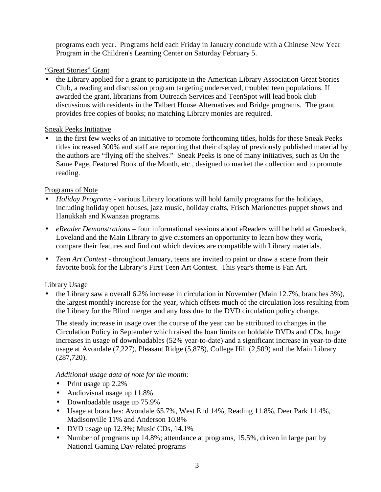programs each year. Programs held each Friday in January conclude with a Chinese New Year Program in the Children's Learning Center on Saturday February 5.

# "Great Stories" Grant

• the Library applied for a grant to participate in the American Library Association Great Stories Club, a reading and discussion program targeting underserved, troubled teen populations. If awarded the grant, librarians from Outreach Services and TeenSpot will lead book club discussions with residents in the Talbert House Alternatives and Bridge programs. The grant provides free copies of books; no matching Library monies are required.

# Sneak Peeks Initiative

• in the first few weeks of an initiative to promote forthcoming titles, holds for these Sneak Peeks titles increased 300% and staff are reporting that their display of previously published material by the authors are "flying off the shelves." Sneak Peeks is one of many initiatives, such as On the Same Page, Featured Book of the Month, etc., designed to market the collection and to promote reading.

# Programs of Note

- *Holiday Programs* various Library locations will hold family programs for the holidays, including holiday open houses, jazz music, holiday crafts, Frisch Marionettes puppet shows and Hanukkah and Kwanzaa programs.
- *eReader Demonstrations* four informational sessions about eReaders will be held at Groesbeck, Loveland and the Main Library to give customers an opportunity to learn how they work, compare their features and find out which devices are compatible with Library materials.
- *Teen Art Contest* throughout January, teens are invited to paint or draw a scene from their favorite book for the Library's First Teen Art Contest. This year's theme is Fan Art.

# Library Usage

• the Library saw a overall 6.2% increase in circulation in November (Main 12.7%, branches 3%), the largest monthly increase for the year, which offsets much of the circulation loss resulting from the Library for the Blind merger and any loss due to the DVD circulation policy change.

The steady increase in usage over the course of the year can be attributed to changes in the Circulation Policy in September which raised the loan limits on holdable DVDs and CDs, huge increases in usage of downloadables (52% year-to-date) and a significant increase in year-to-date usage at Avondale (7,227), Pleasant Ridge (5,878), College Hill (2,509) and the Main Library (287,720).

*Additional usage data of note for the month:* 

- Print usage up 2.2%
- Audiovisual usage up 11.8%
- Downloadable usage up 75.9%
- Usage at branches: Avondale 65.7%, West End 14%, Reading 11.8%, Deer Park 11.4%, Madisonville 11% and Anderson 10.8%
- DVD usage up 12.3%; Music CDs, 14.1%
- Number of programs up 14.8%; attendance at programs, 15.5%, driven in large part by National Gaming Day-related programs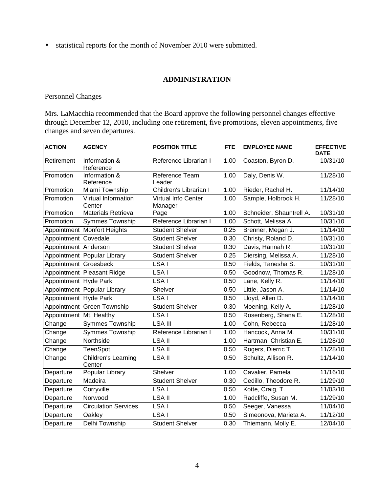• statistical reports for the month of November 2010 were submitted.

### **ADMINISTRATION**

### Personnel Changes

Mrs. LaMacchia recommended that the Board approve the following personnel changes effective through December 12, 2010, including one retirement, five promotions, eleven appointments, five changes and seven departures.

| <b>ACTION</b>           | <b>AGENCY</b>                 | <b>POSITION TITLE</b>          | <b>FTE</b> | <b>EMPLOYEE NAME</b>     | <b>EFFECTIVE</b><br><b>DATE</b> |
|-------------------------|-------------------------------|--------------------------------|------------|--------------------------|---------------------------------|
| Retirement              | Information &<br>Reference    | Reference Librarian I          | 1.00       | Coaston, Byron D.        | 10/31/10                        |
| Promotion               | Information &<br>Reference    | Reference Team<br>Leader       | 1.00       | Daly, Denis W.           | 11/28/10                        |
| Promotion               | Miami Township                | Children's Librarian I         | 1.00       | Rieder, Rachel H.        | 11/14/10                        |
| Promotion               | Virtual Information<br>Center | Virtual Info Center<br>Manager | 1.00       | Sample, Holbrook H.      | 11/28/10                        |
| Promotion               | <b>Materials Retrieval</b>    | Page                           | 1.00       | Schneider, Shauntrell A. | 10/31/10                        |
| Promotion               | <b>Symmes Township</b>        | Reference Librarian I          | 1.00       | Schott, Melissa A.       | 10/31/10                        |
|                         | Appointment Monfort Heights   | <b>Student Shelver</b>         | 0.25       | Brenner, Megan J.        | 11/14/10                        |
| Appointment Covedale    |                               | <b>Student Shelver</b>         | 0.30       | Christy, Roland D.       | 10/31/10                        |
| Appointment Anderson    |                               | <b>Student Shelver</b>         | 0.30       | Davis, Hannah R.         | 10/31/10                        |
|                         | Appointment Popular Library   | <b>Student Shelver</b>         | 0.25       | Diersing, Melissa A.     | 11/28/10                        |
| Appointment Groesbeck   |                               | LSA I                          | 0.50       | Fields, Tanesha S.       | 10/31/10                        |
|                         | Appointment Pleasant Ridge    | LSA <sub>I</sub>               | 0.50       | Goodnow, Thomas R.       | 11/28/10                        |
| Appointment Hyde Park   |                               | LSA I                          | 0.50       | Lane, Kelly R.           | 11/14/10                        |
|                         | Appointment Popular Library   | Shelver                        | 0.50       | Little, Jason A.         | 11/14/10                        |
| Appointment Hyde Park   |                               | LSA I                          | 0.50       | Lloyd, Allen D.          | 11/14/10                        |
|                         | Appointment Green Township    | <b>Student Shelver</b>         | 0.30       | Moening, Kelly A.        | 11/28/10                        |
| Appointment Mt. Healthy |                               | LSA I                          | 0.50       | Rosenberg, Shana E.      | 11/28/10                        |
| Change                  | <b>Symmes Township</b>        | <b>LSA III</b>                 | 1.00       | Cohn, Rebecca            | 11/28/10                        |
| Change                  | <b>Symmes Township</b>        | Reference Librarian I          | 1.00       | Hancock, Anna M.         | 10/31/10                        |
| Change                  | Northside                     | <b>LSA II</b>                  | 1.00       | Hartman, Christian E.    | 11/28/10                        |
| Change                  | <b>TeenSpot</b>               | LSA II                         | 0.50       | Rogers, Dierric T.       | 11/28/10                        |
| Change                  | Children's Learning<br>Center | <b>LSA II</b>                  | 0.50       | Schultz, Allison R.      | 11/14/10                        |
| Departure               | Popular Library               | Shelver                        | 1.00       | Cavalier, Pamela         | 11/16/10                        |
| Departure               | Madeira                       | <b>Student Shelver</b>         | 0.30       | Cedillo, Theodore R.     | 11/29/10                        |
| Departure               | Corryville                    | LSA <sub>I</sub>               | 0.50       | Kotte, Craig, T.         | 11/03/10                        |
| Departure               | Norwood                       | <b>LSA II</b>                  | 1.00       | Radcliffe, Susan M.      | 11/29/10                        |
| Departure               | <b>Circulation Services</b>   | LSA I                          | 0.50       | Seeger, Vanessa          | 11/04/10                        |
| Departure               | Oakley                        | LSA <sub>I</sub>               | 0.50       | Simeonova, Marieta A.    | 11/12/10                        |
| Departure               | Delhi Township                | <b>Student Shelver</b>         | 0.30       | Thiemann, Molly E.       | 12/04/10                        |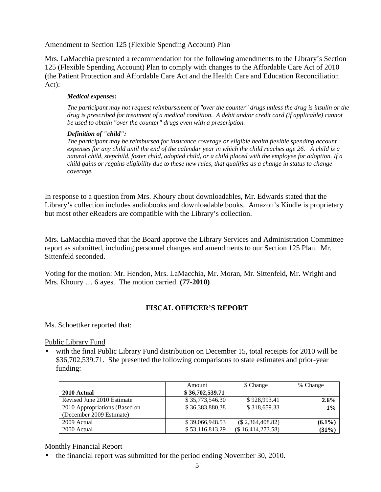### Amendment to Section 125 (Flexible Spending Account) Plan

Mrs. LaMacchia presented a recommendation for the following amendments to the Library's Section 125 (Flexible Spending Account) Plan to comply with changes to the Affordable Care Act of 2010 (the Patient Protection and Affordable Care Act and the Health Care and Education Reconciliation Act):

#### *Medical expenses:*

*The participant may not request reimbursement of "over the counter" drugs unless the drug is insulin or the drug is prescribed for treatment of a medical condition. A debit and/or credit card (if applicable) cannot be used to obtain "over the counter" drugs even with a prescription.* 

#### *Definition of "child":*

*The participant may be reimbursed for insurance coverage or eligible health flexible spending account expenses for any child until the end of the calendar year in which the child reaches age 26. A child is a natural child, stepchild, foster child, adopted child, or a child placed with the employee for adoption. If a child gains or regains eligibility due to these new rules, that qualifies as a change in status to change coverage.*

In response to a question from Mrs. Khoury about downloadables, Mr. Edwards stated that the Library's collection includes audiobooks and downloadable books. Amazon's Kindle is proprietary but most other eReaders are compatible with the Library's collection.

Mrs. LaMacchia moved that the Board approve the Library Services and Administration Committee report as submitted, including personnel changes and amendments to our Section 125 Plan. Mr. Sittenfeld seconded.

Voting for the motion: Mr. Hendon, Mrs. LaMacchia, Mr. Moran, Mr. Sittenfeld, Mr. Wright and Mrs. Khoury … 6 ayes. The motion carried. **(77-2010)** 

## **FISCAL OFFICER'S REPORT**

Ms. Schoettker reported that:

Public Library Fund

• with the final Public Library Fund distribution on December 15, total receipts for 2010 will be \$36,702,539.71. She presented the following comparisons to state estimates and prior-year funding:

|                               | Amount          | \$ Change           | % Change  |
|-------------------------------|-----------------|---------------------|-----------|
| 2010 Actual                   | \$36,702,539.71 |                     |           |
| Revised June 2010 Estimate    | \$35,773,546.30 | \$928,993.41        | $2.6\%$   |
| 2010 Appropriations (Based on | \$36,383,880.38 | \$318,659.33        | 1%        |
| (December 2009 Estimate)      |                 |                     |           |
| 2009 Actual                   | \$39,066,948.53 | $(\$2,364,408.82)$  | $(6.1\%)$ |
| 2000 Actual                   | \$53,116,813.29 | $(\$16,414,273.58)$ | (31%)     |

### Monthly Financial Report

• the financial report was submitted for the period ending November 30, 2010.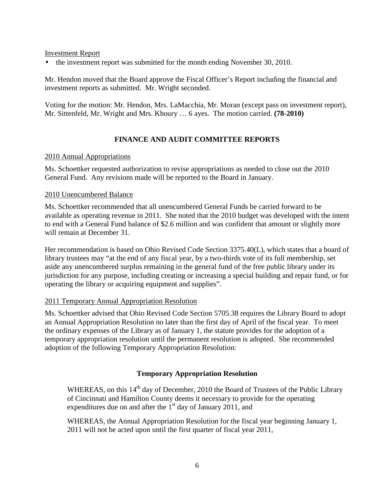Investment Report

• the investment report was submitted for the month ending November 30, 2010.

Mr. Hendon moved that the Board approve the Fiscal Officer's Report including the financial and investment reports as submitted. Mr. Wright seconded.

Voting for the motion: Mr. Hendon, Mrs. LaMacchia, Mr. Moran (except pass on investment report), Mr. Sittenfeld, Mr. Wright and Mrs. Khoury … 6 ayes. The motion carried. **(78-2010)** 

## **FINANCE AND AUDIT COMMITTEE REPORTS**

### 2010 Annual Appropriations

Ms. Schoettker requested authorization to revise appropriations as needed to close out the 2010 General Fund. Any revisions made will be reported to the Board in January.

### 2010 Unencumbered Balance

Ms. Schoettker recommended that all unencumbered General Funds be carried forward to be available as operating revenue in 2011. She noted that the 2010 budget was developed with the intent to end with a General Fund balance of \$2.6 million and was confident that amount or slightly more will remain at December 31.

Her recommendation is based on Ohio Revised Code Section 3375.40(L), which states that a board of library trustees may "at the end of any fiscal year, by a two-thirds vote of its full membership, set aside any unencumbered surplus remaining in the general fund of the free public library under its jurisdiction for any purpose, including creating or increasing a special building and repair fund, or for operating the library or acquiring equipment and supplies".

### 2011 Temporary Annual Appropriation Resolution

Ms. Schoettker advised that Ohio Revised Code Section 5705.38 requires the Library Board to adopt an Annual Appropriation Resolution no later than the first day of April of the fiscal year. To meet the ordinary expenses of the Library as of January 1, the statute provides for the adoption of a temporary appropriation resolution until the permanent resolution is adopted. She recommended adoption of the following Temporary Appropriation Resolution:

## **Temporary Appropriation Resolution**

WHEREAS, on this 14<sup>th</sup> day of December, 2010 the Board of Trustees of the Public Library of Cincinnati and Hamilton County deems it necessary to provide for the operating expenditures due on and after the  $1<sup>st</sup>$  day of January 2011, and

WHEREAS, the Annual Appropriation Resolution for the fiscal year beginning January 1, 2011 will not be acted upon until the first quarter of fiscal year 2011,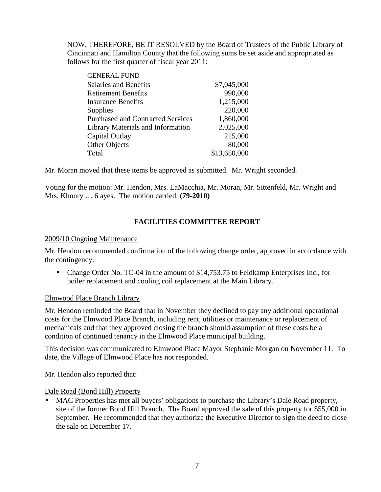NOW, THEREFORE, BE IT RESOLVED by the Board of Trustees of the Public Library of Cincinnati and Hamilton County that the following sums be set aside and appropriated as follows for the first quarter of fiscal year 2011:

| <b>GENERAL FUND</b>                      |              |
|------------------------------------------|--------------|
| <b>Salaries and Benefits</b>             | \$7,045,000  |
| <b>Retirement Benefits</b>               | 990,000      |
| <b>Insurance Benefits</b>                | 1,215,000    |
| <b>Supplies</b>                          | 220,000      |
| <b>Purchased and Contracted Services</b> | 1,860,000    |
| Library Materials and Information        | 2,025,000    |
| Capital Outlay                           | 215,000      |
| <b>Other Objects</b>                     | 80,000       |
| Total                                    | \$13,650,000 |
|                                          |              |

Mr. Moran moved that these items be approved as submitted. Mr. Wright seconded.

Voting for the motion: Mr. Hendon, Mrs. LaMacchia, Mr. Moran, Mr. Sittenfeld, Mr. Wright and Mrs. Khoury … 6 ayes. The motion carried. **(79-2010)**

# **FACILITIES COMMITTEE REPORT**

### 2009/10 Ongoing Maintenance

Mr. Hendon recommended confirmation of the following change order, approved in accordance with the contingency:

• Change Order No. TC-04 in the amount of \$14,753.75 to Feldkamp Enterprises Inc., for boiler replacement and cooling coil replacement at the Main Library.

### Elmwood Place Branch Library

Mr. Hendon reminded the Board that in November they declined to pay any additional operational costs for the Elmwood Place Branch, including rent, utilities or maintenance or replacement of mechanicals and that they approved closing the branch should assumption of these costs be a condition of continued tenancy in the Elmwood Place municipal building.

This decision was communicated to Elmwood Place Mayor Stephanie Morgan on November 11. To date, the Village of Elmwood Place has not responded.

Mr. Hendon also reported that:

Dale Road (Bond Hill) Property

MAC Properties has met all buyers' obligations to purchase the Library's Dale Road property, site of the former Bond Hill Branch. The Board approved the sale of this property for \$55,000 in September. He recommended that they authorize the Executive Director to sign the deed to close the sale on December 17.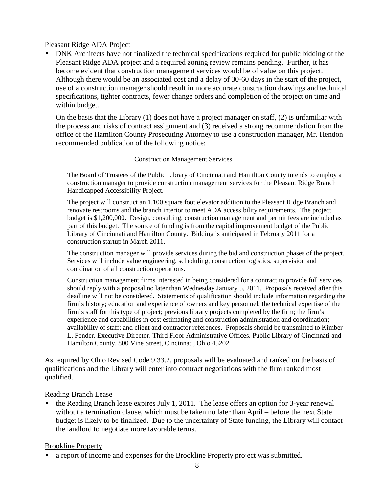### Pleasant Ridge ADA Project

• DNK Architects have not finalized the technical specifications required for public bidding of the Pleasant Ridge ADA project and a required zoning review remains pending. Further, it has become evident that construction management services would be of value on this project. Although there would be an associated cost and a delay of 30-60 days in the start of the project, use of a construction manager should result in more accurate construction drawings and technical specifications, tighter contracts, fewer change orders and completion of the project on time and within budget.

On the basis that the Library (1) does not have a project manager on staff, (2) is unfamiliar with the process and risks of contract assignment and (3) received a strong recommendation from the office of the Hamilton County Prosecuting Attorney to use a construction manager, Mr. Hendon recommended publication of the following notice:

### Construction Management Services

The Board of Trustees of the Public Library of Cincinnati and Hamilton County intends to employ a construction manager to provide construction management services for the Pleasant Ridge Branch Handicapped Accessibility Project.

The project will construct an 1,100 square foot elevator addition to the Pleasant Ridge Branch and renovate restrooms and the branch interior to meet ADA accessibility requirements. The project budget is \$1,200,000. Design, consulting, construction management and permit fees are included as part of this budget. The source of funding is from the capital improvement budget of the Public Library of Cincinnati and Hamilton County. Bidding is anticipated in February 2011 for a construction startup in March 2011.

The construction manager will provide services during the bid and construction phases of the project. Services will include value engineering, scheduling, construction logistics, supervision and coordination of all construction operations.

Construction management firms interested in being considered for a contract to provide full services should reply with a proposal no later than Wednesday January 5, 2011. Proposals received after this deadline will not be considered. Statements of qualification should include information regarding the firm's history; education and experience of owners and key personnel; the technical expertise of the firm's staff for this type of project; previous library projects completed by the firm; the firm's experience and capabilities in cost estimating and construction administration and coordination; availability of staff; and client and contractor references. Proposals should be transmitted to Kimber L. Fender, Executive Director, Third Floor Administrative Offices, Public Library of Cincinnati and Hamilton County, 800 Vine Street, Cincinnati, Ohio 45202.

As required by Ohio Revised Code 9.33.2, proposals will be evaluated and ranked on the basis of qualifications and the Library will enter into contract negotiations with the firm ranked most qualified.

## Reading Branch Lease

• the Reading Branch lease expires July 1, 2011. The lease offers an option for 3-year renewal without a termination clause, which must be taken no later than April – before the next State budget is likely to be finalized. Due to the uncertainty of State funding, the Library will contact the landlord to negotiate more favorable terms.

### Brookline Property

• a report of income and expenses for the Brookline Property project was submitted.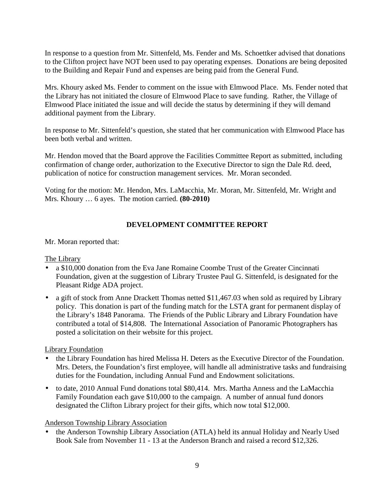In response to a question from Mr. Sittenfeld, Ms. Fender and Ms. Schoettker advised that donations to the Clifton project have NOT been used to pay operating expenses. Donations are being deposited to the Building and Repair Fund and expenses are being paid from the General Fund.

Mrs. Khoury asked Ms. Fender to comment on the issue with Elmwood Place. Ms. Fender noted that the Library has not initiated the closure of Elmwood Place to save funding. Rather, the Village of Elmwood Place initiated the issue and will decide the status by determining if they will demand additional payment from the Library.

In response to Mr. Sittenfeld's question, she stated that her communication with Elmwood Place has been both verbal and written.

Mr. Hendon moved that the Board approve the Facilities Committee Report as submitted, including confirmation of change order, authorization to the Executive Director to sign the Dale Rd. deed, publication of notice for construction management services. Mr. Moran seconded.

Voting for the motion: Mr. Hendon, Mrs. LaMacchia, Mr. Moran, Mr. Sittenfeld, Mr. Wright and Mrs. Khoury … 6 ayes. The motion carried. **(80-2010)** 

# **DEVELOPMENT COMMITTEE REPORT**

### Mr. Moran reported that:

## The Library

- a \$10,000 donation from the Eva Jane Romaine Coombe Trust of the Greater Cincinnati Foundation, given at the suggestion of Library Trustee Paul G. Sittenfeld, is designated for the Pleasant Ridge ADA project.
- a gift of stock from Anne Drackett Thomas netted \$11,467.03 when sold as required by Library policy. This donation is part of the funding match for the LSTA grant for permanent display of the Library's 1848 Panorama. The Friends of the Public Library and Library Foundation have contributed a total of \$14,808. The International Association of Panoramic Photographers has posted a solicitation on their website for this project.

## Library Foundation

- the Library Foundation has hired Melissa H. Deters as the Executive Director of the Foundation. Mrs. Deters, the Foundation's first employee, will handle all administrative tasks and fundraising duties for the Foundation, including Annual Fund and Endowment solicitations.
- to date, 2010 Annual Fund donations total \$80,414. Mrs. Martha Anness and the LaMacchia Family Foundation each gave \$10,000 to the campaign. A number of annual fund donors designated the Clifton Library project for their gifts, which now total \$12,000.

## Anderson Township Library Association

• the Anderson Township Library Association (ATLA) held its annual Holiday and Nearly Used Book Sale from November 11 - 13 at the Anderson Branch and raised a record \$12,326.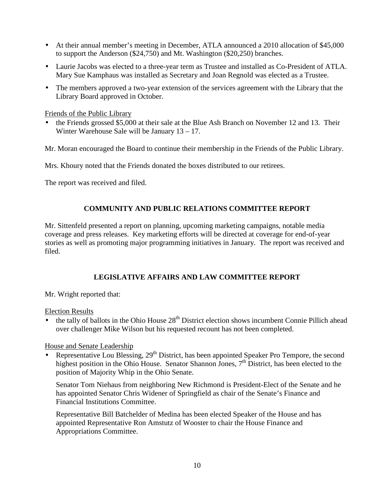- At their annual member's meeting in December, ATLA announced a 2010 allocation of \$45,000 to support the Anderson (\$24,750) and Mt. Washington (\$20,250) branches.
- Laurie Jacobs was elected to a three-year term as Trustee and installed as Co-President of ATLA. Mary Sue Kamphaus was installed as Secretary and Joan Regnold was elected as a Trustee.
- The members approved a two-year extension of the services agreement with the Library that the Library Board approved in October.

Friends of the Public Library

• the Friends grossed \$5,000 at their sale at the Blue Ash Branch on November 12 and 13. Their Winter Warehouse Sale will be January 13 – 17.

Mr. Moran encouraged the Board to continue their membership in the Friends of the Public Library.

Mrs. Khoury noted that the Friends donated the boxes distributed to our retirees.

The report was received and filed.

## **COMMUNITY AND PUBLIC RELATIONS COMMITTEE REPORT**

Mr. Sittenfeld presented a report on planning, upcoming marketing campaigns, notable media coverage and press releases. Key marketing efforts will be directed at coverage for end-of-year stories as well as promoting major programming initiatives in January. The report was received and filed.

## **LEGISLATIVE AFFAIRS AND LAW COMMITTEE REPORT**

Mr. Wright reported that:

Election Results

the tally of ballots in the Ohio House 28<sup>th</sup> District election shows incumbent Connie Pillich ahead over challenger Mike Wilson but his requested recount has not been completed.

House and Senate Leadership

• Representative Lou Blessing,  $29<sup>th</sup>$  District, has been appointed Speaker Pro Tempore, the second highest position in the Ohio House. Senator Shannon Jones,  $7<sup>th</sup>$  District, has been elected to the position of Majority Whip in the Ohio Senate.

Senator Tom Niehaus from neighboring New Richmond is President-Elect of the Senate and he has appointed Senator Chris Widener of Springfield as chair of the Senate's Finance and Financial Institutions Committee.

Representative Bill Batchelder of Medina has been elected Speaker of the House and has appointed Representative Ron Amstutz of Wooster to chair the House Finance and Appropriations Committee.